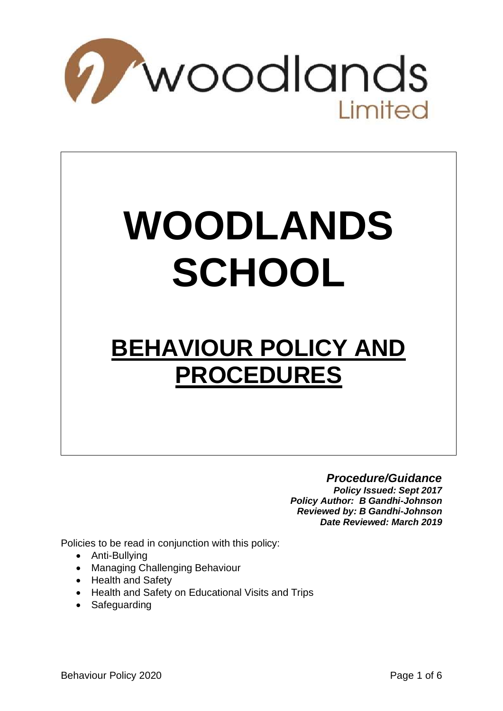

# **WOODLANDS SCHOOL**

# **BEHAVIOUR POLICY AND PROCEDURES**

*Procedure/Guidance Policy Issued: Sept 2017 Policy Author: B Gandhi-Johnson Reviewed by: B Gandhi-Johnson Date Reviewed: March 2019*

Policies to be read in conjunction with this policy:

- Anti-Bullying
- Managing Challenging Behaviour
- Health and Safety
- Health and Safety on Educational Visits and Trips
- Safeguarding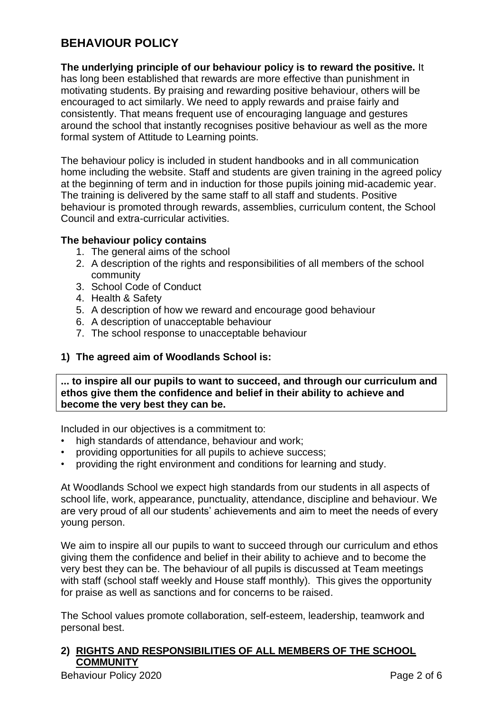# **BEHAVIOUR POLICY**

#### **The underlying principle of our behaviour policy is to reward the positive.** It

has long been established that rewards are more effective than punishment in motivating students. By praising and rewarding positive behaviour, others will be encouraged to act similarly. We need to apply rewards and praise fairly and consistently. That means frequent use of encouraging language and gestures around the school that instantly recognises positive behaviour as well as the more formal system of Attitude to Learning points.

The behaviour policy is included in student handbooks and in all communication home including the website. Staff and students are given training in the agreed policy at the beginning of term and in induction for those pupils joining mid-academic year. The training is delivered by the same staff to all staff and students. Positive behaviour is promoted through rewards, assemblies, curriculum content, the School Council and extra-curricular activities.

#### **The behaviour policy contains**

- 1. The general aims of the school
- 2. A description of the rights and responsibilities of all members of the school community
- 3. School Code of Conduct
- 4. Health & Safety
- 5. A description of how we reward and encourage good behaviour
- 6. A description of unacceptable behaviour
- 7. The school response to unacceptable behaviour

#### **1) The agreed aim of Woodlands School is:**

**... to inspire all our pupils to want to succeed, and through our curriculum and ethos give them the confidence and belief in their ability to achieve and become the very best they can be.**

Included in our objectives is a commitment to:

- high standards of attendance, behaviour and work;
- providing opportunities for all pupils to achieve success;
- providing the right environment and conditions for learning and study.

At Woodlands School we expect high standards from our students in all aspects of school life, work, appearance, punctuality, attendance, discipline and behaviour. We are very proud of all our students' achievements and aim to meet the needs of every young person.

We aim to inspire all our pupils to want to succeed through our curriculum and ethos giving them the confidence and belief in their ability to achieve and to become the very best they can be. The behaviour of all pupils is discussed at Team meetings with staff (school staff weekly and House staff monthly). This gives the opportunity for praise as well as sanctions and for concerns to be raised.

The School values promote collaboration, self-esteem, leadership, teamwork and personal best.

# **2) RIGHTS AND RESPONSIBILITIES OF ALL MEMBERS OF THE SCHOOL COMMUNITY**

Behaviour Policy 2020 **Page 2 of 6** Page 2 of 6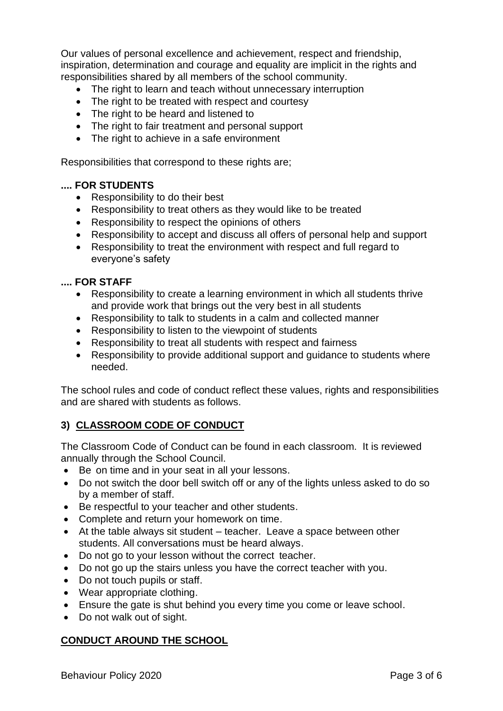Our values of personal excellence and achievement, respect and friendship, inspiration, determination and courage and equality are implicit in the rights and responsibilities shared by all members of the school community.

- The right to learn and teach without unnecessary interruption
- The right to be treated with respect and courtesy
- The right to be heard and listened to
- The right to fair treatment and personal support
- The right to achieve in a safe environment

Responsibilities that correspond to these rights are;

#### **.... FOR STUDENTS**

- Responsibility to do their best
- Responsibility to treat others as they would like to be treated
- Responsibility to respect the opinions of others
- Responsibility to accept and discuss all offers of personal help and support
- Responsibility to treat the environment with respect and full regard to everyone's safety

#### **.... FOR STAFF**

- Responsibility to create a learning environment in which all students thrive and provide work that brings out the very best in all students
- Responsibility to talk to students in a calm and collected manner
- Responsibility to listen to the viewpoint of students
- Responsibility to treat all students with respect and fairness
- Responsibility to provide additional support and guidance to students where needed.

The school rules and code of conduct reflect these values, rights and responsibilities and are shared with students as follows.

# **3) CLASSROOM CODE OF CONDUCT**

The Classroom Code of Conduct can be found in each classroom. It is reviewed annually through the School Council.

- Be on time and in your seat in all your lessons.
- Do not switch the door bell switch off or any of the lights unless asked to do so by a member of staff.
- Be respectful to your teacher and other students.
- Complete and return your homework on time.
- At the table always sit student teacher. Leave a space between other students. All conversations must be heard always.
- Do not go to your lesson without the correct teacher.
- Do not go up the stairs unless you have the correct teacher with you.
- Do not touch pupils or staff.
- Wear appropriate clothing.
- Ensure the gate is shut behind you every time you come or leave school.
- Do not walk out of sight.

# **CONDUCT AROUND THE SCHOOL**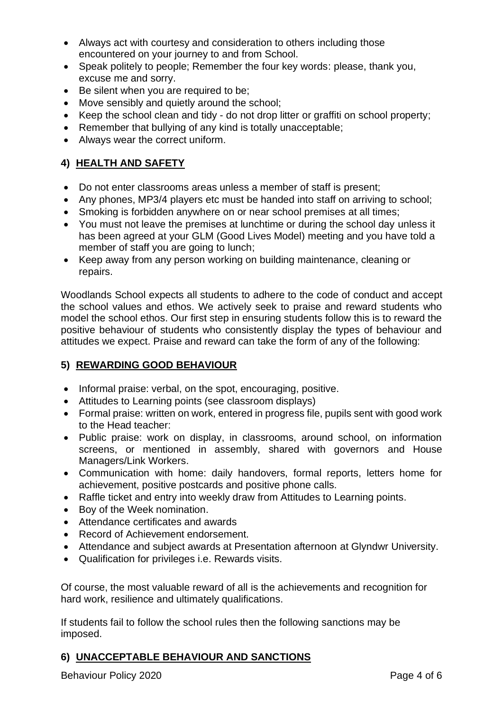- Always act with courtesy and consideration to others including those encountered on your journey to and from School.
- Speak politely to people; Remember the four key words: please, thank you, excuse me and sorry.
- Be silent when you are required to be;
- Move sensibly and quietly around the school;
- Keep the school clean and tidy do not drop litter or graffiti on school property;
- Remember that bullying of any kind is totally unacceptable;
- Always wear the correct uniform.

# **4) HEALTH AND SAFETY**

- Do not enter classrooms areas unless a member of staff is present;
- Any phones, MP3/4 players etc must be handed into staff on arriving to school;
- Smoking is forbidden anywhere on or near school premises at all times;
- You must not leave the premises at lunchtime or during the school day unless it has been agreed at your GLM (Good Lives Model) meeting and you have told a member of staff you are going to lunch;
- Keep away from any person working on building maintenance, cleaning or repairs.

Woodlands School expects all students to adhere to the code of conduct and accept the school values and ethos. We actively seek to praise and reward students who model the school ethos. Our first step in ensuring students follow this is to reward the positive behaviour of students who consistently display the types of behaviour and attitudes we expect. Praise and reward can take the form of any of the following:

# **5) REWARDING GOOD BEHAVIOUR**

- Informal praise: verbal, on the spot, encouraging, positive.
- Attitudes to Learning points (see classroom displays)
- Formal praise: written on work, entered in progress file, pupils sent with good work to the Head teacher:
- Public praise: work on display, in classrooms, around school, on information screens, or mentioned in assembly, shared with governors and House Managers/Link Workers.
- Communication with home: daily handovers, formal reports, letters home for achievement, positive postcards and positive phone calls.
- Raffle ticket and entry into weekly draw from Attitudes to Learning points.
- Boy of the Week nomination.
- Attendance certificates and awards
- Record of Achievement endorsement.
- Attendance and subject awards at Presentation afternoon at Glyndwr University.
- Qualification for privileges i.e. Rewards visits.

Of course, the most valuable reward of all is the achievements and recognition for hard work, resilience and ultimately qualifications.

If students fail to follow the school rules then the following sanctions may be imposed.

# **6) UNACCEPTABLE BEHAVIOUR AND SANCTIONS**

Behaviour Policy 2020 **Page 4 of 6** Page 4 of 6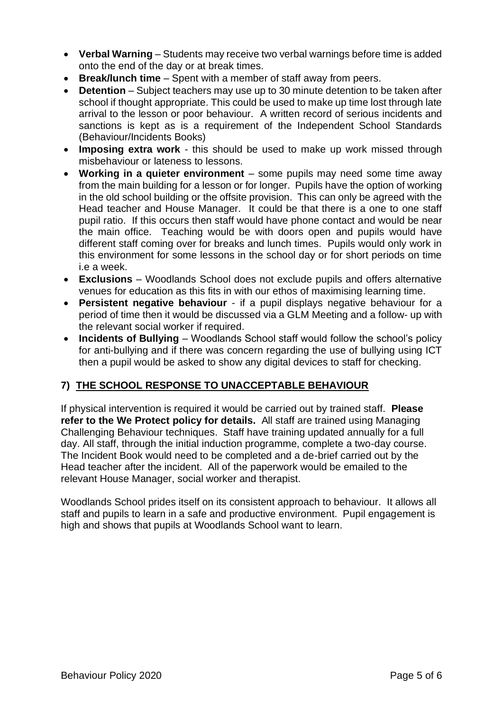- **Verbal Warning** Students may receive two verbal warnings before time is added onto the end of the day or at break times.
- **Break/lunch time**  Spent with a member of staff away from peers.
- **Detention** Subject teachers may use up to 30 minute detention to be taken after school if thought appropriate. This could be used to make up time lost through late arrival to the lesson or poor behaviour. A written record of serious incidents and sanctions is kept as is a requirement of the Independent School Standards (Behaviour/Incidents Books)
- **Imposing extra work**  this should be used to make up work missed through misbehaviour or lateness to lessons.
- **Working in a quieter environment**  some pupils may need some time away from the main building for a lesson or for longer. Pupils have the option of working in the old school building or the offsite provision. This can only be agreed with the Head teacher and House Manager. It could be that there is a one to one staff pupil ratio. If this occurs then staff would have phone contact and would be near the main office. Teaching would be with doors open and pupils would have different staff coming over for breaks and lunch times. Pupils would only work in this environment for some lessons in the school day or for short periods on time i.e a week.
- **Exclusions**  Woodlands School does not exclude pupils and offers alternative venues for education as this fits in with our ethos of maximising learning time.
- **Persistent negative behaviour**  if a pupil displays negative behaviour for a period of time then it would be discussed via a GLM Meeting and a follow- up with the relevant social worker if required.
- **Incidents of Bullying** Woodlands School staff would follow the school's policy for anti-bullying and if there was concern regarding the use of bullying using ICT then a pupil would be asked to show any digital devices to staff for checking.

# **7) THE SCHOOL RESPONSE TO UNACCEPTABLE BEHAVIOUR**

If physical intervention is required it would be carried out by trained staff. **Please refer to the We Protect policy for details.** All staff are trained using Managing Challenging Behaviour techniques. Staff have training updated annually for a full day. All staff, through the initial induction programme, complete a two-day course. The Incident Book would need to be completed and a de-brief carried out by the Head teacher after the incident. All of the paperwork would be emailed to the relevant House Manager, social worker and therapist.

Woodlands School prides itself on its consistent approach to behaviour. It allows all staff and pupils to learn in a safe and productive environment. Pupil engagement is high and shows that pupils at Woodlands School want to learn.